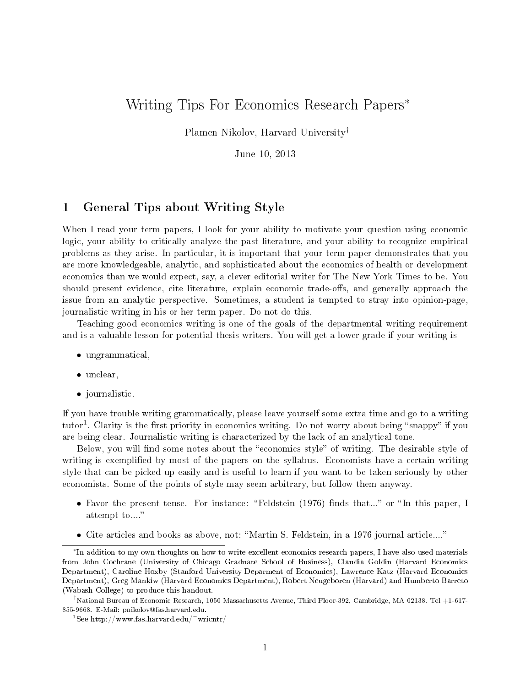# Writing Tips For Economics Research Papers<sup>∗</sup>

Plamen Nikolov, Harvard University†

June 10, 2013

## 1 General Tips about Writing Style

When I read your term papers, I look for your ability to motivate your question using economic logic, your ability to critically analyze the past literature, and your ability to recognize empirical problems as they arise. In particular, it is important that your term paper demonstrates that you are more knowledgeable, analytic, and sophisticated about the economics of health or development economics than we would expect, say, a clever editorial writer for The New York Times to be. You should present evidence, cite literature, explain economic trade-offs, and generally approach the issue from an analytic perspective. Sometimes, a student is tempted to stray into opinion-page, journalistic writing in his or her term paper. Do not do this.

Teaching good economics writing is one of the goals of the departmental writing requirement and is a valuable lesson for potential thesis writers. You will get a lower grade if your writing is

- ungrammatical,
- unclear,
- journalistic.

If you have trouble writing grammatically, please leave yourself some extra time and go to a writing tutor<sup>1</sup>. Clarity is the first priority in economics writing. Do not worry about being "snappy" if you are being clear. Journalistic writing is characterized by the lack of an analytical tone.

Below, you will find some notes about the "economics style" of writing. The desirable style of writing is exemplified by most of the papers on the syllabus. Economists have a certain writing style that can be picked up easily and is useful to learn if you want to be taken seriously by other economists. Some of the points of style may seem arbitrary, but follow them anyway.

- Favor the present tense. For instance: "Feldstein (1976) finds that..." or "In this paper, I attempt to....
- Cite articles and books as above, not: "Martin S. Feldstein, in a 1976 journal article...."

<sup>∗</sup> In addition to my own thoughts on how to write excellent economics research papers, I have also used materials from John Cochrane (University of Chicago Graduate School of Business), Claudia Goldin (Harvard Economics Department), Caroline Hoxby (Stanford University Deparment of Economics), Lawrence Katz (Harvard Economics Department), Greg Mankiw (Harvard Economics Department), Robert Neugeboren (Harvard) and Humberto Barreto (Wabash College) to produce this handout.

 $^\dagger$ National Bureau of Economic Research, 1050 Massachusetts Avenue, Third Floor-392, Cambridge, MA 02138. Tel +1-617-855-9668. E-Mail: pnikolov@fas.harvard.edu.

 $1$ See http://www.fas.harvard.edu/~wricntr/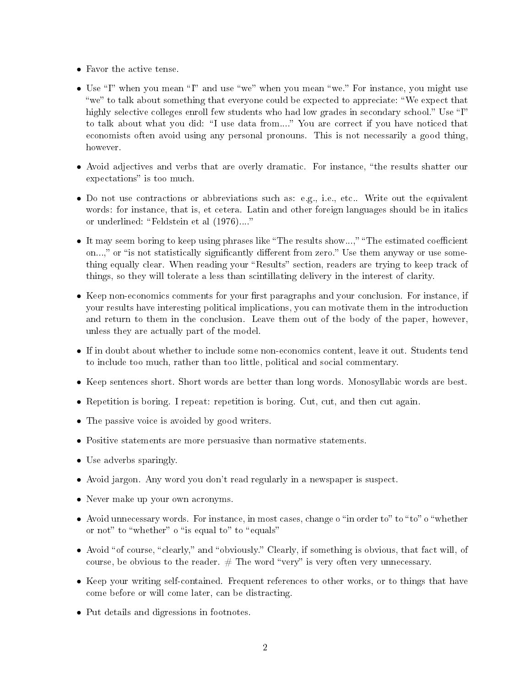- Favor the active tense.
- Use "I" when you mean "I" and use "we" when you mean "we." For instance, you might use "we" to talk about something that everyone could be expected to appreciate: "We expect that highly selective colleges enroll few students who had low grades in secondary school." Use "I" to talk about what you did: "I use data from...." You are correct if you have noticed that economists often avoid using any personal pronouns. This is not necessarily a good thing, however.
- Avoid adjectives and verbs that are overly dramatic. For instance, "the results shatter our expectations" is too much.
- Do not use contractions or abbreviations such as: e.g., i.e., etc.. Write out the equivalent words: for instance, that is, et cetera. Latin and other foreign languages should be in italics or underlined: "Feldstein et al  $(1976)$ ...."
- It may seem boring to keep using phrases like "The results show...," "The estimated coefficient on...," or "is not statistically significantly different from zero." Use them anyway or use something equally clear. When reading your "Results" section, readers are trying to keep track of things, so they will tolerate a less than scintillating delivery in the interest of clarity.
- $\bullet$  Keep non-economics comments for your first paragraphs and your conclusion. For instance, if your results have interesting political implications, you can motivate them in the introduction and return to them in the conclusion. Leave them out of the body of the paper, however, unless they are actually part of the model.
- If in doubt about whether to include some non-economics content, leave it out. Students tend to include too much, rather than too little, political and social commentary.
- Keep sentences short. Short words are better than long words. Monosyllabic words are best.
- Repetition is boring. I repeat: repetition is boring. Cut, cut, and then cut again.
- The passive voice is avoided by good writers.
- Positive statements are more persuasive than normative statements.
- Use adverbs sparingly.
- Avoid jargon. Any word you don't read regularly in a newspaper is suspect.
- Never make up your own acronyms.
- Avoid unnecessary words. For instance, in most cases, change  $\circ$  "in order to" to "to"  $\circ$  "whether or not" to "whether" o "is equal to" to "equals"
- Avoid "of course, "clearly," and "obviously." Clearly, if something is obvious, that fact will, of course, be obvious to the reader.  $#$  The word "very" is very often very unnecessary.
- Keep your writing self-contained. Frequent references to other works, or to things that have come before or will come later, can be distracting.
- Put details and digressions in footnotes.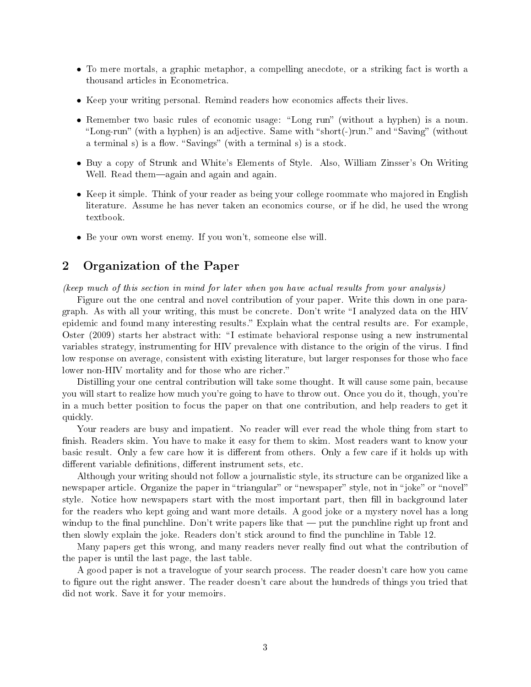- To mere mortals, a graphic metaphor, a compelling anecdote, or a striking fact is worth a thousand articles in Econometrica.
- Keep your writing personal. Remind readers how economics affects their lives.
- Remember two basic rules of economic usage: "Long run" (without a hyphen) is a noun. "Long-run" (with a hyphen) is an adjective. Same with "short(-)run." and "Saving" (without a terminal s) is a flow. "Savings" (with a terminal s) is a stock.
- Buy a copy of Strunk and White's Elements of Style. Also, William Zinsser's On Writing Well. Read them—again and again and again.
- Keep it simple. Think of your reader as being your college roommate who majored in English literature. Assume he has never taken an economics course, or if he did, he used the wrong textbook.
- Be your own worst enemy. If you won't, someone else will.

### 2 Organization of the Paper

(keep much of this section in mind for later when you have actual results from your analysis)

Figure out the one central and novel contribution of your paper. Write this down in one paragraph. As with all your writing, this must be concrete. Don't write "I analyzed data on the HIV epidemic and found many interesting results." Explain what the central results are. For example, Oster (2009) starts her abstract with: "I estimate behavioral response using a new instrumental variables strategy, instrumenting for HIV prevalence with distance to the origin of the virus. I find low response on average, consistent with existing literature, but larger responses for those who face lower non-HIV mortality and for those who are richer."

Distilling your one central contribution will take some thought. It will cause some pain, because you will start to realize how much you're going to have to throw out. Once you do it, though, you're in a much better position to focus the paper on that one contribution, and help readers to get it quickly.

Your readers are busy and impatient. No reader will ever read the whole thing from start to finish. Readers skim. You have to make it easy for them to skim. Most readers want to know your basic result. Only a few care how it is different from others. Only a few care if it holds up with different variable definitions, different instrument sets, etc.

Although your writing should not follow a journalistic style, its structure can be organized like a newspaper article. Organize the paper in "triangular" or "newspaper" style, not in "joke" or "novel" style. Notice how newspapers start with the most important part, then fill in background later for the readers who kept going and want more details. A good joke or a mystery novel has a long windup to the final punchline. Don't write papers like that  $-$  put the punchline right up front and then slowly explain the joke. Readers don't stick around to find the punchline in Table 12.

Many papers get this wrong, and many readers never really find out what the contribution of the paper is until the last page, the last table.

A good paper is not a travelogue of your search process. The reader doesn't care how you came to figure out the right answer. The reader doesn't care about the hundreds of things you tried that did not work. Save it for your memoirs.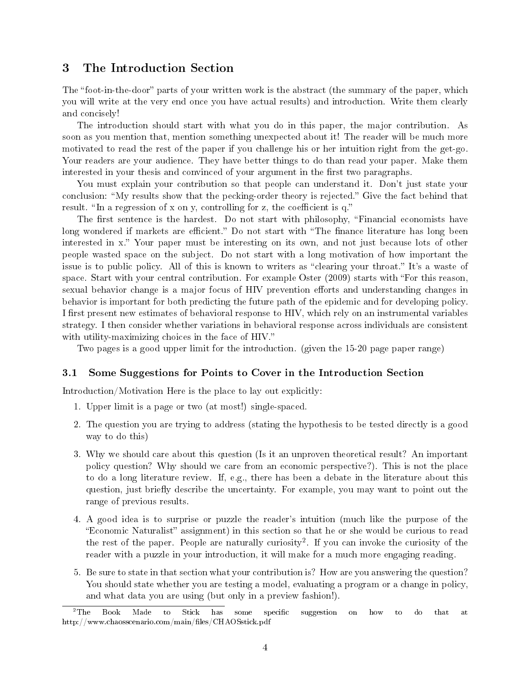### 3 The Introduction Section

The "foot-in-the-door" parts of your written work is the abstract (the summary of the paper, which you will write at the very end once you have actual results) and introduction. Write them clearly and concisely!

The introduction should start with what you do in this paper, the major contribution. As soon as you mention that, mention something unexpected about it! The reader will be much more motivated to read the rest of the paper if you challenge his or her intuition right from the get-go. Your readers are your audience. They have better things to do than read your paper. Make them interested in your thesis and convinced of your argument in the first two paragraphs.

You must explain your contribution so that people can understand it. Don't just state your conclusion: "My results show that the pecking-order theory is rejected." Give the fact behind that result. "In a regression of x on y, controlling for z, the coefficient is  $q$ ."

The first sentence is the hardest. Do not start with philosophy, "Financial economists have long wondered if markets are efficient." Do not start with "The finance literature has long been interested in x." Your paper must be interesting on its own, and not just because lots of other people wasted space on the subject. Do not start with a long motivation of how important the issue is to public policy. All of this is known to writers as "clearing your throat." It's a waste of space. Start with your central contribution. For example Oster (2009) starts with "For this reason, sexual behavior change is a major focus of HIV prevention efforts and understanding changes in behavior is important for both predicting the future path of the epidemic and for developing policy. I first present new estimates of behavioral response to HIV, which rely on an instrumental variables strategy. I then consider whether variations in behavioral response across individuals are consistent with utility-maximizing choices in the face of HIV."

Two pages is a good upper limit for the introduction. (given the 15-20 page paper range)

#### 3.1 Some Suggestions for Points to Cover in the Introduction Section

Introduction/Motivation Here is the place to lay out explicitly:

- 1. Upper limit is a page or two (at most!) single-spaced.
- 2. The question you are trying to address (stating the hypothesis to be tested directly is a good way to do this)
- 3. Why we should care about this question (Is it an unproven theoretical result? An important policy question? Why should we care from an economic perspective?). This is not the place to do a long literature review. If, e.g., there has been a debate in the literature about this question, just briefly describe the uncertainty. For example, you may want to point out the range of previous results.
- 4. A good idea is to surprise or puzzle the reader's intuition (much like the purpose of the "Economic Naturalist" assignment) in this section so that he or she would be curious to read the rest of the paper. People are naturally curiosity<sup>2</sup>. If you can invoke the curiosity of the reader with a puzzle in your introduction, it will make for a much more engaging reading.
- 5. Be sure to state in that section what your contribution is? How are you answering the question? You should state whether you are testing a model, evaluating a program or a change in policy, and what data you are using (but only in a preview fashion!).

 $\rm{^{2}The}$  Book Made to Stick has some specific suggestion on how to do that at http://www.chaosscenario.com/main/files/CHAOSstick.pdf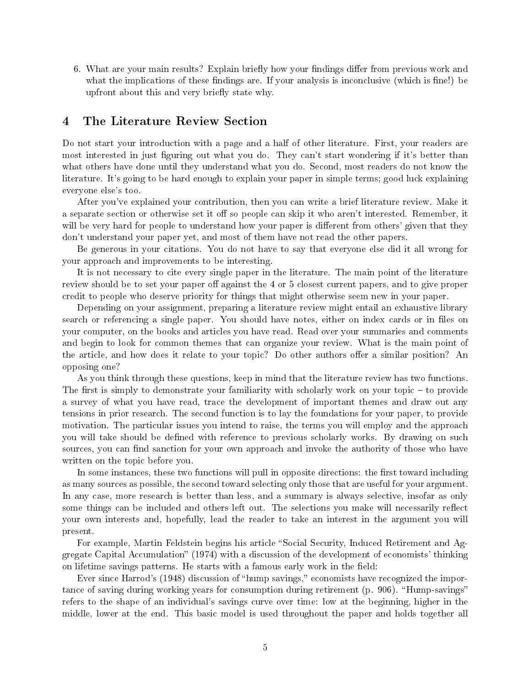6. What are your main results? Explain briefly how your findings differ from previous work and what the implications of these findings are. If your analysis is inconclusive (which is fine!) be upfront about this and very briefly state why.

### 4 The Literature Review Section

Do not start your introduction with a page and a half of other literature. First, your readers are most interested in just figuring out what you do. They can't start wondering if it's better than what others have done until they understand what you do. Second, most readers do not know the literature. It's going to be hard enough to explain your paper in simple terms; good luck explaining everyone else's too.

After you've explained your contribution, then you can write a brief literature review. Make it a separate section or otherwise set it off so people can skip it who aren't interested. Remember, it will be very hard for people to understand how your paper is different from others' given that they don't understand your paper yet, and most of them have not read the other papers.

Be generous in your citations. You do not have to say that everyone else did it all wrong for your approach and improvements to be interesting.

It is not necessary to cite every single paper in the literature. The main point of the literature review should be to set your paper off against the 4 or 5 closest current papers, and to give proper credit to people who deserve priority for things that might otherwise seem new in your paper.

Depending on your assignment, preparing a literature review might entail an exhaustive library search or referencing a single paper. You should have notes, either on index cards or in files on your computer, on the books and articles you have read. Read over your summaries and comments and begin to look for common themes that can organize your review. What is the main point of the article, and how does it relate to your topic? Do other authors offer a similar position? An opposing one?

As you think through these questions, keep in mind that the literature review has two functions. The first is simply to demonstrate your familiarity with scholarly work on your topic  $-$  to provide a survey of what you have read, trace the development of important themes and draw out any tensions in prior research. The second function is to lay the foundations for your paper, to provide motivation. The particular issues you intend to raise, the terms you will employ and the approach you will take should be defined with reference to previous scholarly works. By drawing on such sources, you can find sanction for your own approach and invoke the authority of those who have written on the topic before you.

In some instances, these two functions will pull in opposite directions: the first toward including as many sources as possible, the second toward selecting only those that are useful for your argument. In any case, more research is better than less, and a summary is always selective, insofar as only some things can be included and others left out. The selections you make will necessarily reflect your own interests and, hopefully, lead the reader to take an interest in the argument you will present.

For example, Martin Feldstein begins his article "Social Security, Induced Retirement and Aggregate Capital Accumulation" (1974) with a discussion of the development of economists' thinking on lifetime savings patterns. He starts with a famous early work in the field:

Ever since Harrod's (1948) discussion of "hump savings," economists have recognized the importance of saving during working years for consumption during retirement (p. 906). "Hump-savings" refers to the shape of an individual's savings curve over time: low at the beginning, higher in the middle, lower at the end. This basic model is used throughout the paper and holds together all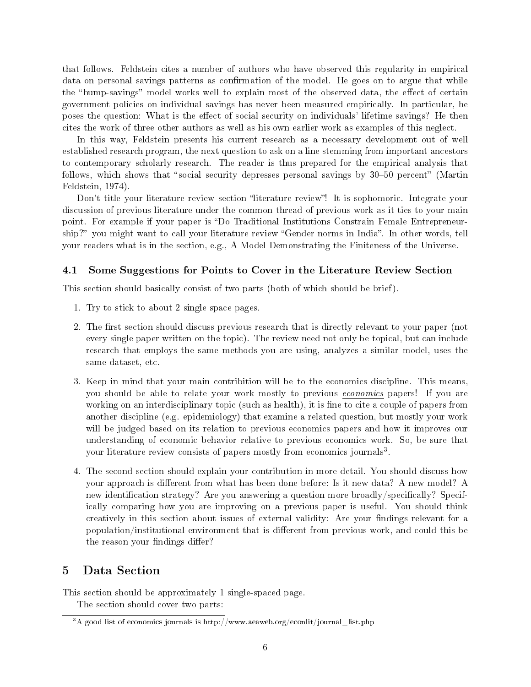that follows. Feldstein cites a number of authors who have observed this regularity in empirical data on personal savings patterns as confirmation of the model. He goes on to argue that while the "hump-savings" model works well to explain most of the observed data, the effect of certain government policies on individual savings has never been measured empirically. In particular, he poses the question: What is the effect of social security on individuals' lifetime savings? He then cites the work of three other authors as well as his own earlier work as examples of this neglect.

In this way, Feldstein presents his current research as a necessary development out of well established research program, the next question to ask on a line stemming from important ancestors to contemporary scholarly research. The reader is thus prepared for the empirical analysis that follows, which shows that "social security depresses personal savings by 30–50 percent" (Martin Feldstein, 1974).

Don't title your literature review section "literature review"! It is sophomoric. Integrate your discussion of previous literature under the common thread of previous work as it ties to your main point. For example if your paper is "Do Traditional Institutions Constrain Female Entrepreneurship?" you might want to call your literature review "Gender norms in India". In other words, tell your readers what is in the section, e.g., A Model Demonstrating the Finiteness of the Universe.

### 4.1 Some Suggestions for Points to Cover in the Literature Review Section

This section should basically consist of two parts (both of which should be brief).

- 1. Try to stick to about 2 single space pages.
- 2. The first section should discuss previous research that is directly relevant to your paper (not every single paper written on the topic). The review need not only be topical, but can include research that employs the same methods you are using, analyzes a similar model, uses the same dataset, etc.
- 3. Keep in mind that your main contribition will be to the economics discipline. This means, you should be able to relate your work mostly to previous economics papers! If you are working on an interdisciplinary topic (such as health), it is fine to cite a couple of papers from another discipline (e.g. epidemiology) that examine a related question, but mostly your work will be judged based on its relation to previous economics papers and how it improves our understanding of economic behavior relative to previous economics work. So, be sure that your literature review consists of papers mostly from economics journals<sup>3</sup>.
- 4. The second section should explain your contribution in more detail. You should discuss how your approach is different from what has been done before: Is it new data? A new model? A new identification strategy? Are you answering a question more broadly/specifically? Specifically comparing how you are improving on a previous paper is useful. You should think creatively in this section about issues of external validity: Are your findings relevant for a population/institutional environment that is dierent from previous work, and could this be the reason your findings differ?

### 5 Data Section

This section should be approximately 1 single-spaced page.

The section should cover two parts:

 $3A$  good list of economics journals is http://www.aeaweb.org/econlit/journal\_list.php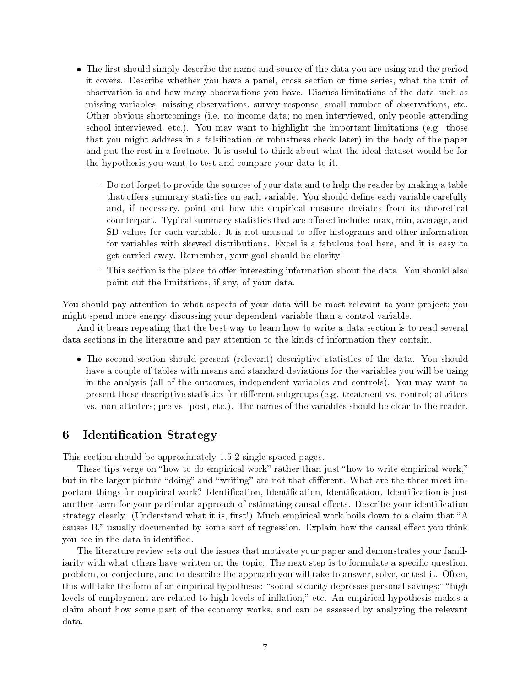- The first should simply describe the name and source of the data you are using and the period it covers. Describe whether you have a panel, cross section or time series, what the unit of observation is and how many observations you have. Discuss limitations of the data such as missing variables, missing observations, survey response, small number of observations, etc. Other obvious shortcomings (i.e. no income data; no men interviewed, only people attending school interviewed, etc.). You may want to highlight the important limitations (e.g. those that you might address in a falsification or robustness check later) in the body of the paper and put the rest in a footnote. It is useful to think about what the ideal dataset would be for the hypothesis you want to test and compare your data to it.
	- Do not forget to provide the sources of your data and to help the reader by making a table that offers summary statistics on each variable. You should define each variable carefully and, if necessary, point out how the empirical measure deviates from its theoretical counterpart. Typical summary statistics that are offered include: max, min, average, and SD values for each variable. It is not unusual to offer histograms and other information for variables with skewed distributions. Excel is a fabulous tool here, and it is easy to get carried away. Remember, your goal should be clarity!
	- This section is the place to offer interesting information about the data. You should also point out the limitations, if any, of your data.

You should pay attention to what aspects of your data will be most relevant to your project; you might spend more energy discussing your dependent variable than a control variable.

And it bears repeating that the best way to learn how to write a data section is to read several data sections in the literature and pay attention to the kinds of information they contain.

• The second section should present (relevant) descriptive statistics of the data. You should have a couple of tables with means and standard deviations for the variables you will be using in the analysis (all of the outcomes, independent variables and controls). You may want to present these descriptive statistics for different subgroups (e.g. treatment vs. control; attriters vs. non-attriters; pre vs. post, etc.). The names of the variables should be clear to the reader.

### 6 Identification Strategy

This section should be approximately 1.5-2 single-spaced pages.

These tips verge on "how to do empirical work" rather than just "how to write empirical work," but in the larger picture "doing" and "writing" are not that different. What are the three most important things for empirical work? Identification, Identification, Identification. Identification is just another term for your particular approach of estimating causal effects. Describe your identification strategy clearly. (Understand what it is, first!) Much empirical work boils down to a claim that "A causes B," usually documented by some sort of regression. Explain how the causal effect you think you see in the data is identified.

The literature review sets out the issues that motivate your paper and demonstrates your familiarity with what others have written on the topic. The next step is to formulate a specific question. problem, or conjecture, and to describe the approach you will take to answer, solve, or test it. Often, this will take the form of an empirical hypothesis: "social security depresses personal savings;" "high levels of employment are related to high levels of inflation," etc. An empirical hypothesis makes a claim about how some part of the economy works, and can be assessed by analyzing the relevant data.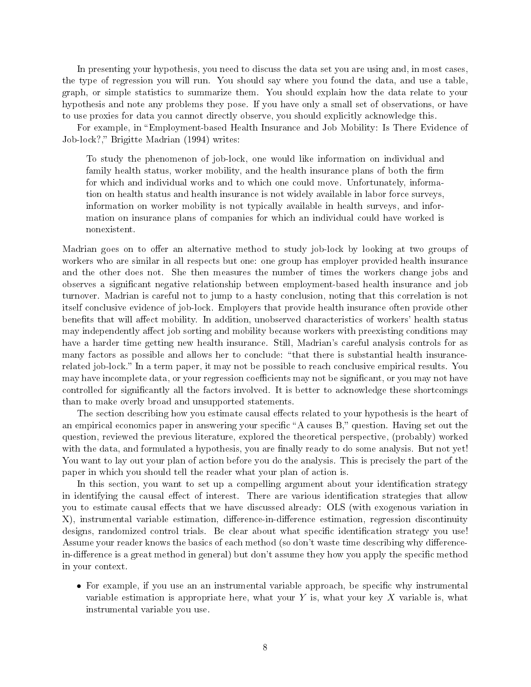In presenting your hypothesis, you need to discuss the data set you are using and, in most cases, the type of regression you will run. You should say where you found the data, and use a table, graph, or simple statistics to summarize them. You should explain how the data relate to your hypothesis and note any problems they pose. If you have only a small set of observations, or have to use proxies for data you cannot directly observe, you should explicitly acknowledge this.

For example, in "Employment-based Health Insurance and Job Mobility: Is There Evidence of Job-lock?," Brigitte Madrian (1994) writes:

To study the phenomenon of job-lock, one would like information on individual and family health status, worker mobility, and the health insurance plans of both the firm for which and individual works and to which one could move. Unfortunately, information on health status and health insurance is not widely available in labor force surveys, information on worker mobility is not typically available in health surveys, and information on insurance plans of companies for which an individual could have worked is nonexistent.

Madrian goes on to offer an alternative method to study job-lock by looking at two groups of workers who are similar in all respects but one: one group has employer provided health insurance and the other does not. She then measures the number of times the workers change jobs and observes a signicant negative relationship between employment-based health insurance and job turnover. Madrian is careful not to jump to a hasty conclusion, noting that this correlation is not itself conclusive evidence of job-lock. Employers that provide health insurance often provide other benefits that will affect mobility. In addition, unobserved characteristics of workers' health status may independently affect job sorting and mobility because workers with preexisting conditions may have a harder time getting new health insurance. Still, Madrian's careful analysis controls for as many factors as possible and allows her to conclude: "that there is substantial health insurancerelated job-lock." In a term paper, it may not be possible to reach conclusive empirical results. You may have incomplete data, or your regression coefficients may not be significant, or you may not have controlled for significantly all the factors involved. It is better to acknowledge these shortcomings than to make overly broad and unsupported statements.

The section describing how you estimate causal effects related to your hypothesis is the heart of an empirical economics paper in answering your specific "A causes  $B$ ," question. Having set out the question, reviewed the previous literature, explored the theoretical perspective, (probably) worked with the data, and formulated a hypothesis, you are finally ready to do some analysis. But not yet! You want to lay out your plan of action before you do the analysis. This is precisely the part of the paper in which you should tell the reader what your plan of action is.

In this section, you want to set up a compelling argument about your identification strategy in identifying the causal effect of interest. There are various identification strategies that allow you to estimate causal effects that we have discussed already: OLS (with exogenous variation in X), instrumental variable estimation, difference-in-difference estimation, regression discontinuity designs, randomized control trials. Be clear about what specific identification strategy you use! Assume your reader knows the basics of each method (so don't waste time describing why differencein-difference is a great method in general) but don't assume they how you apply the specific method in your context.

• For example, if you use an an instrumental variable approach, be specific why instrumental variable estimation is appropriate here, what your Y is, what your key X variable is, what instrumental variable you use.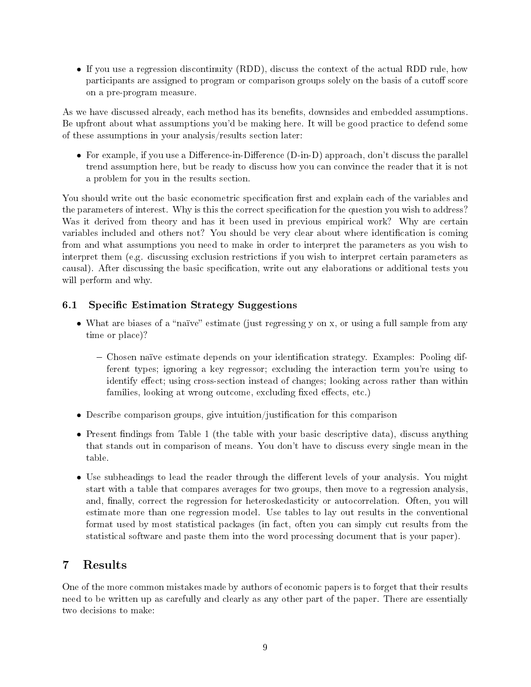• If you use a regression discontinuity (RDD), discuss the context of the actual RDD rule, how participants are assigned to program or comparison groups solely on the basis of a cutoff score on a pre-program measure.

As we have discussed already, each method has its benefits, downsides and embedded assumptions. Be upfront about what assumptions you'd be making here. It will be good practice to defend some of these assumptions in your analysis/results section later:

• For example, if you use a Difference-in-Difference  $(D-in-D)$  approach, don't discuss the parallel trend assumption here, but be ready to discuss how you can convince the reader that it is not a problem for you in the results section.

You should write out the basic econometric specification first and explain each of the variables and the parameters of interest. Why is this the correct specification for the question you wish to address? Was it derived from theory and has it been used in previous empirical work? Why are certain variables included and others not? You should be very clear about where identication is coming from and what assumptions you need to make in order to interpret the parameters as you wish to interpret them (e.g. discussing exclusion restrictions if you wish to interpret certain parameters as causal). After discussing the basic specification, write out any elaborations or additional tests you will perform and why.

## 6.1 Specific Estimation Strategy Suggestions

- What are biases of a "naïve" estimate (just regressing y on x, or using a full sample from any time or place)?
	- $-$  Chosen naïve estimate depends on your identification strategy. Examples: Pooling different types; ignoring a key regressor; excluding the interaction term you're using to identify effect; using cross-section instead of changes; looking across rather than within families, looking at wrong outcome, excluding fixed effects, etc.)
- Describe comparison groups, give intuition/justification for this comparison
- Present findings from Table 1 (the table with your basic descriptive data), discuss anything that stands out in comparison of means. You don't have to discuss every single mean in the table.
- Use subheadings to lead the reader through the different levels of your analysis. You might start with a table that compares averages for two groups, then move to a regression analysis, and, finally, correct the regression for heteroskedasticity or autocorrelation. Often, you will estimate more than one regression model. Use tables to lay out results in the conventional format used by most statistical packages (in fact, often you can simply cut results from the statistical software and paste them into the word processing document that is your paper).

# 7 Results

One of the more common mistakes made by authors of economic papers is to forget that their results need to be written up as carefully and clearly as any other part of the paper. There are essentially two decisions to make: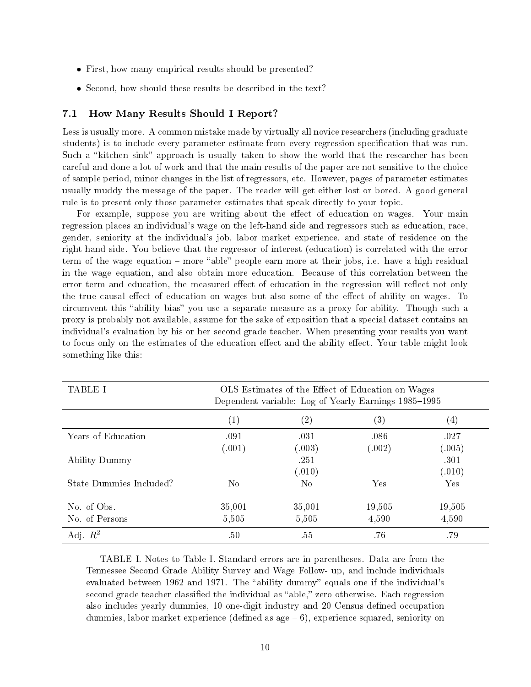- First, how many empirical results should be presented?
- Second, how should these results be described in the text?

### 7.1 How Many Results Should I Report?

Less is usually more. A common mistake made by virtually all novice researchers (including graduate students) is to include every parameter estimate from every regression specification that was run. Such a "kitchen sink" approach is usually taken to show the world that the researcher has been careful and done a lot of work and that the main results of the paper are not sensitive to the choice of sample period, minor changes in the list of regressors, etc. However, pages of parameter estimates usually muddy the message of the paper. The reader will get either lost or bored. A good general rule is to present only those parameter estimates that speak directly to your topic.

For example, suppose you are writing about the effect of education on wages. Your main regression places an individual's wage on the left-hand side and regressors such as education, race, gender, seniority at the individual's job, labor market experience, and state of residence on the right hand side. You believe that the regressor of interest (education) is correlated with the error term of the wage equation – more "able" people earn more at their jobs, i.e. have a high residual in the wage equation, and also obtain more education. Because of this correlation between the error term and education, the measured effect of education in the regression will reflect not only the true causal effect of education on wages but also some of the effect of ability on wages. To circumvent this "ability bias" you use a separate measure as a proxy for ability. Though such a proxy is probably not available, assume for the sake of exposition that a special dataset contains an individual's evaluation by his or her second grade teacher. When presenting your results you want to focus only on the estimates of the education effect and the ability effect. Your table might look something like this:

| TABLE I                 | OLS Estimates of the Effect of Education on Wages<br>Dependent variable: Log of Yearly Earnings 1985–1995 |                   |                |                  |  |
|-------------------------|-----------------------------------------------------------------------------------------------------------|-------------------|----------------|------------------|--|
|                         | (1)                                                                                                       | $\left( 2\right)$ | (3)            | $\left(4\right)$ |  |
| Years of Education      | .091<br>(.001)                                                                                            | .031<br>(.003)    | .086<br>(.002) | .027<br>(.005)   |  |
| Ability Dummy           |                                                                                                           | .251<br>(.010)    |                | .301<br>(.010)   |  |
| State Dummies Included? | No.                                                                                                       | N <sub>o</sub>    | Yes            | <b>Yes</b>       |  |
| No. of Obs.             | 35,001                                                                                                    | 35,001            | 19,505         | 19,505           |  |
| No. of Persons          | 5,505                                                                                                     | 5,505             | 4,590          | 4,590            |  |
| Adj $R^2$               | .50                                                                                                       | .55               | .76            | -79              |  |

TABLE I. Notes to Table I. Standard errors are in parentheses. Data are from the Tennessee Second Grade Ability Survey and Wage Follow- up, and include individuals evaluated between 1962 and 1971. The "ability dummy" equals one if the individual's second grade teacher classified the individual as "able," zero otherwise. Each regression also includes yearly dummies, 10 one-digit industry and 20 Census dened occupation dummies, labor market experience (defined as age  $-6$ ), experience squared, seniority on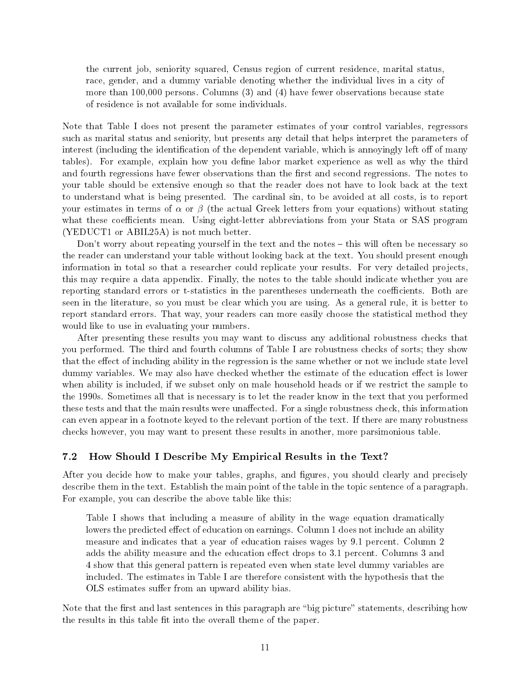the current job, seniority squared, Census region of current residence, marital status, race, gender, and a dummy variable denoting whether the individual lives in a city of more than 100,000 persons. Columns (3) and (4) have fewer observations because state of residence is not available for some individuals.

Note that Table I does not present the parameter estimates of your control variables, regressors such as marital status and seniority, but presents any detail that helps interpret the parameters of interest (including the identification of the dependent variable, which is annoyingly left off of many tables). For example, explain how you define labor market experience as well as why the third and fourth regressions have fewer observations than the first and second regressions. The notes to your table should be extensive enough so that the reader does not have to look back at the text to understand what is being presented. The cardinal sin, to be avoided at all costs, is to report your estimates in terms of  $\alpha$  or  $\beta$  (the actual Greek letters from your equations) without stating what these coefficients mean. Using eight-letter abbreviations from your Stata or SAS program (YEDUCT1 or ABIL25A) is not much better.

Don't worry about repeating yourself in the text and the notes – this will often be necessary so the reader can understand your table without looking back at the text. You should present enough information in total so that a researcher could replicate your results. For very detailed projects, this may require a data appendix. Finally, the notes to the table should indicate whether you are reporting standard errors or t-statistics in the parentheses underneath the coefficients. Both are seen in the literature, so you must be clear which you are using. As a general rule, it is better to report standard errors. That way, your readers can more easily choose the statistical method they would like to use in evaluating your numbers.

After presenting these results you may want to discuss any additional robustness checks that you performed. The third and fourth columns of Table I are robustness checks of sorts; they show that the effect of including ability in the regression is the same whether or not we include state level dummy variables. We may also have checked whether the estimate of the education effect is lower when ability is included, if we subset only on male household heads or if we restrict the sample to the 1990s. Sometimes all that is necessary is to let the reader know in the text that you performed these tests and that the main results were unaffected. For a single robustness check, this information can even appear in a footnote keyed to the relevant portion of the text. If there are many robustness checks however, you may want to present these results in another, more parsimonious table.

### 7.2 How Should I Describe My Empirical Results in the Text?

After you decide how to make your tables, graphs, and figures, you should clearly and precisely describe them in the text. Establish the main point of the table in the topic sentence of a paragraph. For example, you can describe the above table like this:

Table I shows that including a measure of ability in the wage equation dramatically lowers the predicted effect of education on earnings. Column 1 does not include an ability measure and indicates that a year of education raises wages by 9.1 percent. Column 2 adds the ability measure and the education effect drops to 3.1 percent. Columns 3 and 4 show that this general pattern is repeated even when state level dummy variables are included. The estimates in Table I are therefore consistent with the hypothesis that the OLS estimates suffer from an upward ability bias.

Note that the first and last sentences in this paragraph are "big picture" statements, describing how the results in this table fit into the overall theme of the paper.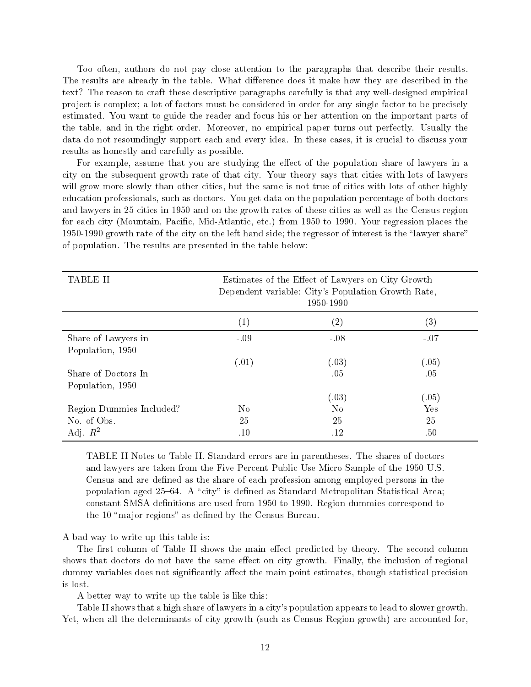Too often, authors do not pay close attention to the paragraphs that describe their results. The results are already in the table. What difference does it make how they are described in the text? The reason to craft these descriptive paragraphs carefully is that any well-designed empirical project is complex; a lot of factors must be considered in order for any single factor to be precisely estimated. You want to guide the reader and focus his or her attention on the important parts of the table, and in the right order. Moreover, no empirical paper turns out perfectly. Usually the data do not resoundingly support each and every idea. In these cases, it is crucial to discuss your results as honestly and carefully as possible.

For example, assume that you are studying the effect of the population share of lawyers in a city on the subsequent growth rate of that city. Your theory says that cities with lots of lawyers will grow more slowly than other cities, but the same is not true of cities with lots of other highly education professionals, such as doctors. You get data on the population percentage of both doctors and lawyers in 25 cities in 1950 and on the growth rates of these cities as well as the Census region for each city (Mountain, Pacific, Mid-Atlantic, etc.) from 1950 to 1990. Your regression places the 1950-1990 growth rate of the city on the left hand side; the regressor of interest is the "lawyer share" of population. The results are presented in the table below:

| TABLE II                                | Estimates of the Effect of Lawyers on City Growth<br>Dependent variable: City's Population Growth Rate,<br>1950-1990 |                   |                   |  |  |
|-----------------------------------------|----------------------------------------------------------------------------------------------------------------------|-------------------|-------------------|--|--|
|                                         | $\left( 1\right)$                                                                                                    | $\left( 2\right)$ | $\left( 3\right)$ |  |  |
| Share of Lawyers in<br>Population, 1950 | $-0.9$                                                                                                               | $-08$             | $-07$             |  |  |
|                                         | (.01)                                                                                                                | (.03)             | (.05)             |  |  |
| Share of Doctors In<br>Population, 1950 |                                                                                                                      | .05               | .05               |  |  |
|                                         |                                                                                                                      | (.03)             | (.05)             |  |  |
| Region Dummies Included?                | N <sub>o</sub>                                                                                                       | No                | Yes               |  |  |
| No of Obs.                              | 25                                                                                                                   | 25                | 25                |  |  |
| Adj $R^2$                               | .10                                                                                                                  | $.12\,$           | .50               |  |  |

TABLE II Notes to Table II. Standard errors are in parentheses. The shares of doctors and lawyers are taken from the Five Percent Public Use Micro Sample of the 1950 U.S. Census and are defined as the share of each profession among employed persons in the population aged  $25-64$ . A "city" is defined as Standard Metropolitan Statistical Area; constant SMSA definitions are used from 1950 to 1990. Region dummies correspond to the 10 "major regions" as defined by the Census Bureau.

A bad way to write up this table is:

The first column of Table II shows the main effect predicted by theory. The second column shows that doctors do not have the same effect on city growth. Finally, the inclusion of regional dummy variables does not significantly affect the main point estimates, though statistical precision is lost.

A better way to write up the table is like this:

Table II shows that a high share of lawyers in a city's population appears to lead to slower growth. Yet, when all the determinants of city growth (such as Census Region growth) are accounted for,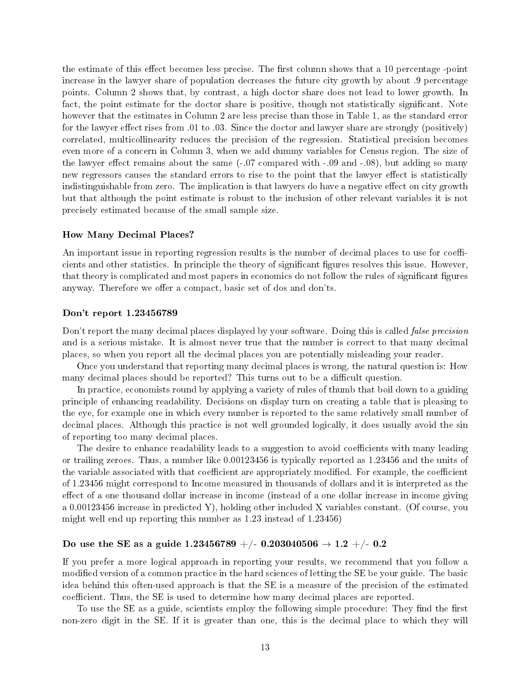the estimate of this effect becomes less precise. The first column shows that a 10 percentage -point increase in the lawyer share of population decreases the future city growth by about .9 percentage points. Column 2 shows that, by contrast, a high doctor share does not lead to lower growth. In fact, the point estimate for the doctor share is positive, though not statistically significant. Note however that the estimates in Column 2 are less precise than those in Table 1, as the standard error for the lawyer effect rises from .01 to .03. Since the doctor and lawyer share are strongly (positively) correlated, multicollinearity reduces the precision of the regression. Statistical precision becomes even more of a concern in Column 3, when we add dummy variables for Census region. The size of the lawyer effect remains about the same  $(-.07 \text{ compared with } -.09 \text{ and } -.08)$ , but adding so many new regressors causes the standard errors to rise to the point that the lawyer effect is statistically indistinguishable from zero. The implication is that lawyers do have a negative effect on city growth but that although the point estimate is robust to the inclusion of other relevant variables it is not precisely estimated because of the small sample size.

#### How Many Decimal Places?

An important issue in reporting regression results is the number of decimal places to use for coefficients and other statistics. In principle the theory of significant figures resolves this issue. However, that theory is complicated and most papers in economics do not follow the rules of significant figures anyway. Therefore we offer a compact, basic set of dos and don'ts.

#### Don't report 1.23456789

Don't report the many decimal places displayed by your software. Doing this is called *false precision* and is a serious mistake. It is almost never true that the number is correct to that many decimal places, so when you report all the decimal places you are potentially misleading your reader.

Once you understand that reporting many decimal places is wrong, the natural question is: How many decimal places should be reported? This turns out to be a difficult question.

In practice, economists round by applying a variety of rules of thumb that boil down to a guiding principle of enhancing readability. Decisions on display turn on creating a table that is pleasing to the eye, for example one in which every number is reported to the same relatively small number of decimal places. Although this practice is not well grounded logically, it does usually avoid the sin of reporting too many decimal places.

The desire to enhance readability leads to a suggestion to avoid coefficients with many leading or trailing zeroes. Thus, a number like 0.00123456 is typically reported as 1.23456 and the units of the variable associated with that coefficient are appropriately modified. For example, the coefficient of 1.23456 might correspond to Income measured in thousands of dollars and it is interpreted as the effect of a one thousand dollar increase in income (instead of a one dollar increase in income giving a 0.00123456 increase in predicted Y), holding other included X variables constant. (Of course, you might well end up reporting this number as 1.23 instead of 1.23456)

#### Do use the SE as a guide 1.23456789 +/- 0.203040506  $\rightarrow$  1.2 +/- 0.2

If you prefer a more logical approach in reporting your results, we recommend that you follow a modified version of a common practice in the hard sciences of letting the SE be your guide. The basic idea behind this often-used approach is that the SE is a measure of the precision of the estimated coefficient. Thus, the SE is used to determine how many decimal places are reported.

To use the SE as a guide, scientists employ the following simple procedure: They find the first non-zero digit in the SE. If it is greater than one, this is the decimal place to which they will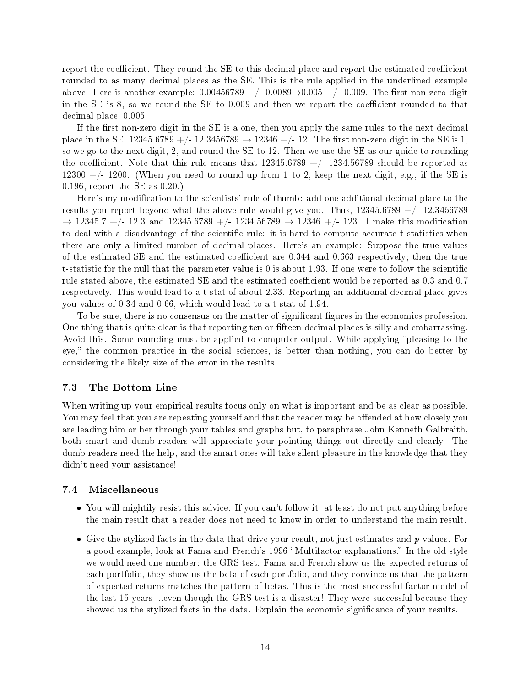report the coefficient. They round the SE to this decimal place and report the estimated coefficient rounded to as many decimal places as the SE. This is the rule applied in the underlined example above. Here is another example:  $0.00456789 + (-0.0089 \rightarrow 0.005 + (-0.009$ . The first non-zero digit in the SE is  $8$ , so we round the SE to  $0.009$  and then we report the coefficient rounded to that decimal place, 0.005.

If the first non-zero digit in the SE is a one, then you apply the same rules to the next decimal place in the SE:  $12345.6789 + (-12.3456789 \rightarrow 12346 + (-12.3456789 \rightarrow 12346 \rightarrow 12.3456 \rightarrow 12.3456789 \rightarrow 12346 \rightarrow 12.3456789 \rightarrow 12346 \rightarrow 12.3456789 \rightarrow 12.3456789 \rightarrow 12.3456789 \rightarrow 12.3456789 \rightarrow 12.3456789 \rightarrow 12.3456789 \rightarrow 12.3456789 \rightarrow 12.3456$ so we go to the next digit, 2, and round the SE to 12. Then we use the SE as our guide to rounding the coefficient. Note that this rule means that  $12345.6789 +1/$   $- 1234.56789$  should be reported as 12300  $+/-$  1200. (When you need to round up from 1 to 2, keep the next digit, e.g., if the SE is 0.196, report the SE as 0.20.)

Here's my modification to the scientists' rule of thumb: add one additional decimal place to the results you report beyond what the above rule would give you. Thus,  $12345.6789 + (-12.3456789)$  $\rightarrow$  12345.7 +/- 12.3 and 12345.6789 +/- 1234.56789  $\rightarrow$  12346 +/- 123. I make this modification to deal with a disadvantage of the scientific rule: it is hard to compute accurate t-statistics when there are only a limited number of decimal places. Here's an example: Suppose the true values of the estimated SE and the estimated coefficient are  $0.344$  and  $0.663$  respectively; then the true t-statistic for the null that the parameter value is 0 is about 1.93. If one were to follow the scientific rule stated above, the estimated SE and the estimated coefficient would be reported as 0.3 and 0.7 respectively. This would lead to a t-stat of about 2.33. Reporting an additional decimal place gives you values of 0.34 and 0.66, which would lead to a t-stat of 1.94.

To be sure, there is no consensus on the matter of significant figures in the economics profession. One thing that is quite clear is that reporting ten or fifteen decimal places is silly and embarrassing. Avoid this. Some rounding must be applied to computer output. While applying "pleasing to the eye," the common practice in the social sciences, is better than nothing, you can do better by considering the likely size of the error in the results.

### 7.3 The Bottom Line

When writing up your empirical results focus only on what is important and be as clear as possible. You may feel that you are repeating yourself and that the reader may be offended at how closely you are leading him or her through your tables and graphs but, to paraphrase John Kenneth Galbraith, both smart and dumb readers will appreciate your pointing things out directly and clearly. The dumb readers need the help, and the smart ones will take silent pleasure in the knowledge that they didn't need your assistance!

#### 7.4 Miscellaneous

- You will mightily resist this advice. If you can't follow it, at least do not put anything before the main result that a reader does not need to know in order to understand the main result.
- Give the stylized facts in the data that drive your result, not just estimates and  $p$  values. For a good example, look at Fama and French's 1996 "Multifactor explanations." In the old style we would need one number: the GRS test. Fama and French show us the expected returns of each portfolio, they show us the beta of each portfolio, and they convince us that the pattern of expected returns matches the pattern of betas. This is the most successful factor model of the last 15 years ...even though the GRS test is a disaster! They were successful because they showed us the stylized facts in the data. Explain the economic significance of your results.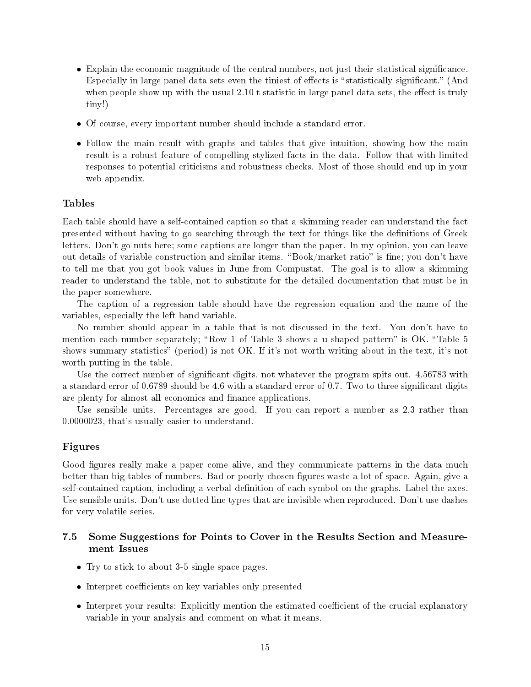- Explain the economic magnitude of the central numbers, not just their statistical significance. Especially in large panel data sets even the tiniest of effects is "statistically significant." (And when people show up with the usual  $2.10$  t statistic in large panel data sets, the effect is truly tiny!)
- Of course, every important number should include a standard error.
- Follow the main result with graphs and tables that give intuition, showing how the main result is a robust feature of compelling stylized facts in the data. Follow that with limited responses to potential criticisms and robustness checks. Most of those should end up in your web appendix.

### Tables

Each table should have a self-contained caption so that a skimming reader can understand the fact presented without having to go searching through the text for things like the denitions of Greek letters. Don't go nuts here; some captions are longer than the paper. In my opinion, you can leave out details of variable construction and similar items. "Book/market ratio" is fine; you don't have to tell me that you got book values in June from Compustat. The goal is to allow a skimming reader to understand the table, not to substitute for the detailed documentation that must be in the paper somewhere.

The caption of a regression table should have the regression equation and the name of the variables, especially the left hand variable.

No number should appear in a table that is not discussed in the text. You don't have to mention each number separately; "Row 1 of Table 3 shows a u-shaped pattern" is OK. "Table 5 shows summary statistics" (period) is not OK. If it's not worth writing about in the text, it's not worth putting in the table.

Use the correct number of significant digits, not whatever the program spits out.  $4.56783$  with a standard error of 0.6789 should be 4.6 with a standard error of 0.7. Two to three significant digits are plenty for almost all economics and finance applications.

Use sensible units. Percentages are good. If you can report a number as 2.3 rather than 0.0000023, that's usually easier to understand.

#### Figures

Good figures really make a paper come alive, and they communicate patterns in the data much better than big tables of numbers. Bad or poorly chosen figures waste a lot of space. Again, give a self-contained caption, including a verbal definition of each symbol on the graphs. Label the axes. Use sensible units. Don't use dotted line types that are invisible when reproduced. Don't use dashes for very volatile series.

### 7.5 Some Suggestions for Points to Cover in the Results Section and Measurement Issues

- Try to stick to about 3-5 single space pages.
- Interpret coefficients on key variables only presented
- Interpret your results: Explicitly mention the estimated coefficient of the crucial explanatory variable in your analysis and comment on what it means.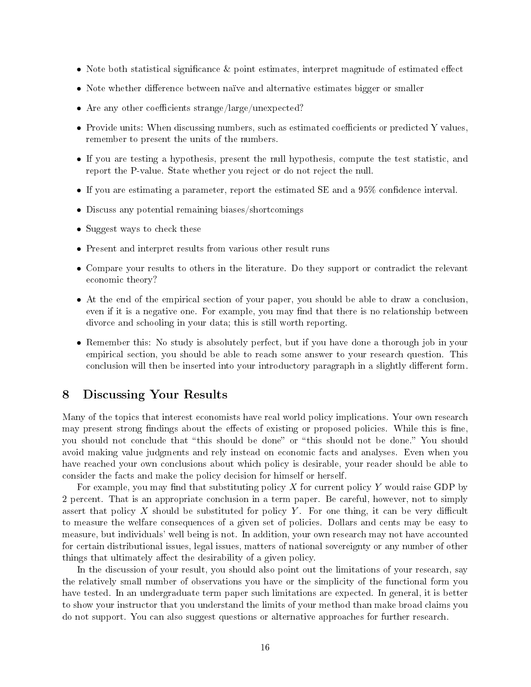- Note both statistical significance  $\&$  point estimates, interpret magnitude of estimated effect
- Note whether difference between naïve and alternative estimates bigger or smaller
- Are any other coefficients strange/large/unexpected?
- Provide units: When discussing numbers, such as estimated coefficients or predicted Y values, remember to present the units of the numbers.
- If you are testing a hypothesis, present the null hypothesis, compute the test statistic, and report the P-value. State whether you reject or do not reject the null.
- If you are estimating a parameter, report the estimated SE and a 95% confidence interval.
- Discuss any potential remaining biases/shortcomings
- Suggest ways to check these
- Present and interpret results from various other result runs
- Compare your results to others in the literature. Do they support or contradict the relevant economic theory?
- At the end of the empirical section of your paper, you should be able to draw a conclusion, even if it is a negative one. For example, you may find that there is no relationship between divorce and schooling in your data; this is still worth reporting.
- Remember this: No study is absolutely perfect, but if you have done a thorough job in your empirical section, you should be able to reach some answer to your research question. This conclusion will then be inserted into your introductory paragraph in a slightly different form.

### 8 Discussing Your Results

Many of the topics that interest economists have real world policy implications. Your own research may present strong findings about the effects of existing or proposed policies. While this is fine, you should not conclude that "this should be done" or "this should not be done." You should avoid making value judgments and rely instead on economic facts and analyses. Even when you have reached your own conclusions about which policy is desirable, your reader should be able to consider the facts and make the policy decision for himself or herself.

For example, you may find that substituting policy  $X$  for current policy  $Y$  would raise GDP by 2 percent. That is an appropriate conclusion in a term paper. Be careful, however, not to simply assert that policy  $X$  should be substituted for policy  $Y$ . For one thing, it can be very difficult to measure the welfare consequences of a given set of policies. Dollars and cents may be easy to measure, but individuals' well being is not. In addition, your own research may not have accounted for certain distributional issues, legal issues, matters of national sovereignty or any number of other things that ultimately affect the desirability of a given policy.

In the discussion of your result, you should also point out the limitations of your research, say the relatively small number of observations you have or the simplicity of the functional form you have tested. In an undergraduate term paper such limitations are expected. In general, it is better to show your instructor that you understand the limits of your method than make broad claims you do not support. You can also suggest questions or alternative approaches for further research.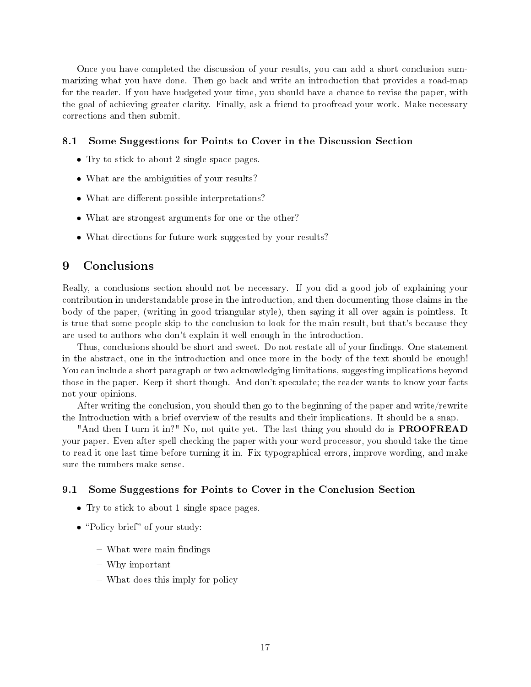Once you have completed the discussion of your results, you can add a short conclusion summarizing what you have done. Then go back and write an introduction that provides a road-map for the reader. If you have budgeted your time, you should have a chance to revise the paper, with the goal of achieving greater clarity. Finally, ask a friend to proofread your work. Make necessary corrections and then submit.

#### 8.1 Some Suggestions for Points to Cover in the Discussion Section

- Try to stick to about 2 single space pages.
- What are the ambiguities of your results?
- What are different possible interpretations?
- What are strongest arguments for one or the other?
- What directions for future work suggested by your results?

### 9 Conclusions

Really, a conclusions section should not be necessary. If you did a good job of explaining your contribution in understandable prose in the introduction, and then documenting those claims in the body of the paper, (writing in good triangular style), then saying it all over again is pointless. It is true that some people skip to the conclusion to look for the main result, but that's because they are used to authors who don't explain it well enough in the introduction.

Thus, conclusions should be short and sweet. Do not restate all of your findings. One statement in the abstract, one in the introduction and once more in the body of the text should be enough! You can include a short paragraph or two acknowledging limitations, suggesting implications beyond those in the paper. Keep it short though. And don't speculate; the reader wants to know your facts not your opinions.

After writing the conclusion, you should then go to the beginning of the paper and write/rewrite the Introduction with a brief overview of the results and their implications. It should be a snap.

"And then I turn it in?" No, not quite yet. The last thing you should do is **PROOFREAD** your paper. Even after spell checking the paper with your word processor, you should take the time to read it one last time before turning it in. Fix typographical errors, improve wording, and make sure the numbers make sense.

#### 9.1 Some Suggestions for Points to Cover in the Conclusion Section

- Try to stick to about 1 single space pages.
- "Policy brief" of your study:
	- $-$  What were main findings
	- Why important
	- What does this imply for policy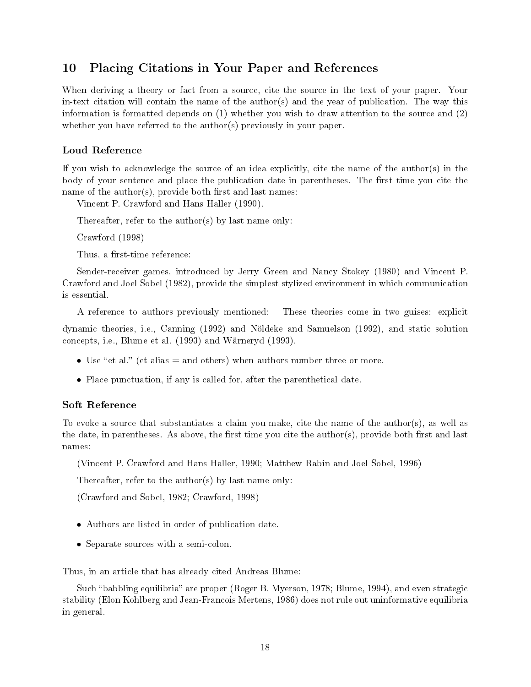## 10 Placing Citations in Your Paper and References

When deriving a theory or fact from a source, cite the source in the text of your paper. Your in-text citation will contain the name of the author(s) and the year of publication. The way this information is formatted depends on (1) whether you wish to draw attention to the source and (2) whether you have referred to the author(s) previously in your paper.

### Loud Reference

If you wish to acknowledge the source of an idea explicitly, cite the name of the author(s) in the body of your sentence and place the publication date in parentheses. The first time you cite the name of the author(s), provide both first and last names:

Vincent P. Crawford and Hans Haller (1990).

Thereafter, refer to the author(s) by last name only:

Crawford (1998)

Thus, a first-time reference:

Sender-receiver games, introduced by Jerry Green and Nancy Stokey (1980) and Vincent P. Crawford and Joel Sobel (1982), provide the simplest stylized environment in which communication is essential.

A reference to authors previously mentioned: These theories come in two guises: explicit

dynamic theories, i.e., Canning (1992) and Nöldeke and Samuelson (1992), and static solution concepts, i.e., Blume et al. (1993) and Wärneryd (1993).

- Use "et al." (et alias  $=$  and others) when authors number three or more.
- Place punctuation, if any is called for, after the parenthetical date.

#### Soft Reference

To evoke a source that substantiates a claim you make, cite the name of the author(s), as well as the date, in parentheses. As above, the first time you cite the author(s), provide both first and last names:

(Vincent P. Crawford and Hans Haller, 1990; Matthew Rabin and Joel Sobel, 1996)

Thereafter, refer to the author(s) by last name only:

(Crawford and Sobel, 1982; Crawford, 1998)

- Authors are listed in order of publication date.
- Separate sources with a semi-colon.

Thus, in an article that has already cited Andreas Blume:

Such "babbling equilibria" are proper (Roger B. Myerson, 1978; Blume, 1994), and even strategic stability (Elon Kohlberg and Jean-Francois Mertens, 1986) does not rule out uninformative equilibria in general.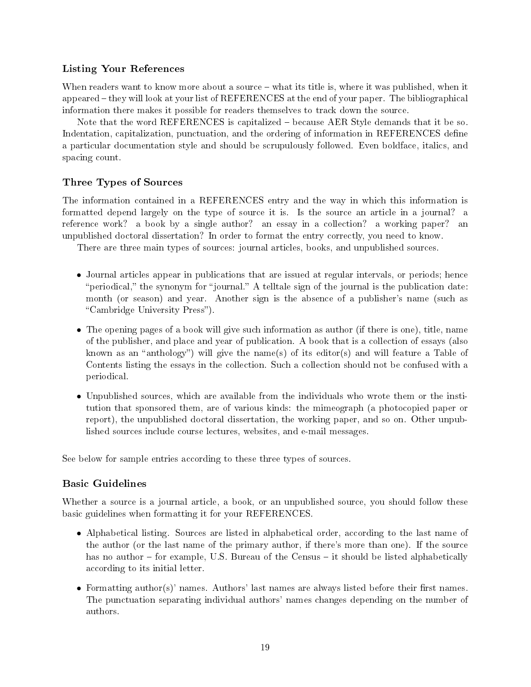### Listing Your References

When readers want to know more about a source  $-$  what its title is, where it was published, when it appeared – they will look at your list of REFERENCES at the end of your paper. The bibliographical information there makes it possible for readers themselves to track down the source.

Note that the word REFERENCES is capitalized because AER Style demands that it be so. Indentation, capitalization, punctuation, and the ordering of information in REFERENCES define a particular documentation style and should be scrupulously followed. Even boldface, italics, and spacing count.

### Three Types of Sources

The information contained in a REFERENCES entry and the way in which this information is formatted depend largely on the type of source it is. Is the source an article in a journal? a reference work? a book by a single author? an essay in a collection? a working paper? an unpublished doctoral dissertation? In order to format the entry correctly, you need to know.

There are three main types of sources: journal articles, books, and unpublished sources.

- Journal articles appear in publications that are issued at regular intervals, or periods; hence "periodical," the synonym for "journal." A telltale sign of the journal is the publication date: month (or season) and year. Another sign is the absence of a publisher's name (such as Cambridge University Press).
- The opening pages of a book will give such information as author (if there is one), title, name of the publisher, and place and year of publication. A book that is a collection of essays (also known as an "anthology") will give the name(s) of its editor(s) and will feature a Table of Contents listing the essays in the collection. Such a collection should not be confused with a periodical.
- Unpublished sources, which are available from the individuals who wrote them or the institution that sponsored them, are of various kinds: the mimeograph (a photocopied paper or report), the unpublished doctoral dissertation, the working paper, and so on. Other unpublished sources include course lectures, websites, and e-mail messages.

See below for sample entries according to these three types of sources.

## Basic Guidelines

Whether a source is a journal article, a book, or an unpublished source, you should follow these basic guidelines when formatting it for your REFERENCES.

- Alphabetical listing. Sources are listed in alphabetical order, according to the last name of the author (or the last name of the primary author, if there's more than one). If the source has no author  $-$  for example, U.S. Bureau of the Census  $-$  it should be listed alphabetically according to its initial letter.
- Formatting author(s)' names. Authors' last names are always listed before their first names. The punctuation separating individual authors' names changes depending on the number of authors.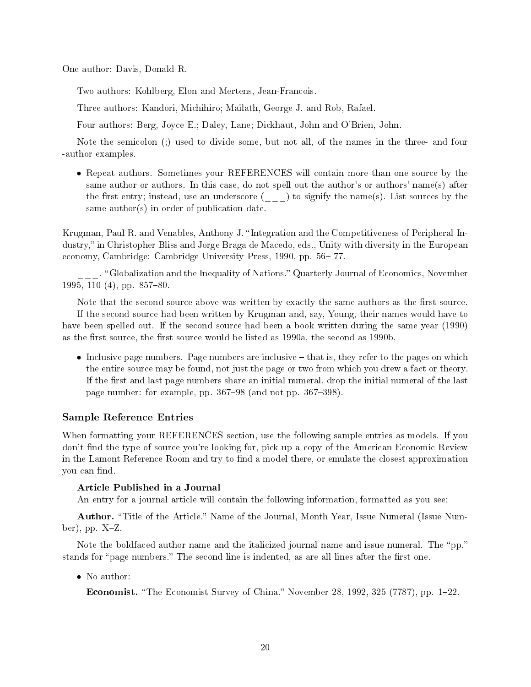One author: Davis, Donald R.

Two authors: Kohlberg, Elon and Mertens, Jean-Francois.

Three authors: Kandori, Michihiro; Mailath, George J. and Rob, Rafael.

Four authors: Berg, Joyce E.; Daley, Lane; Dickhaut, John and O'Brien, John.

Note the semicolon (;) used to divide some, but not all, of the names in the three- and four -author examples.

• Repeat authors. Sometimes your REFERENCES will contain more than one source by the same author or authors. In this case, do not spell out the author's or authors' name(s) after the first entry; instead, use an underscore  $(\_\_ \)_$  to signify the name(s). List sources by the same author(s) in order of publication date.

Krugman, Paul R. and Venables, Anthony J. "Integration and the Competitiveness of Peripheral Industry," in Christopher Bliss and Jorge Braga de Macedo, eds., Unity with diversity in the European economy, Cambridge: Cambridge University Press, 1990, pp. 56–77.

\_\_\_. Globalization and the Inequality of Nations. Quarterly Journal of Economics, November  $1995, 110 (4), pp. 857-80.$ 

Note that the second source above was written by exactly the same authors as the first source. If the second source had been written by Krugman and, say, Young, their names would have to have been spelled out. If the second source had been a book written during the same year (1990) as the first source, the first source would be listed as 1990a, the second as 1990b.

• Inclusive page numbers. Page numbers are inclusive – that is, they refer to the pages on which the entire source may be found, not just the page or two from which you drew a fact or theory. If the first and last page numbers share an initial numeral, drop the initial numeral of the last page number: for example, pp. 367–98 (and not pp. 367–398).

#### Sample Reference Entries

When formatting your REFERENCES section, use the following sample entries as models. If you don't find the type of source you're looking for, pick up a copy of the American Economic Review in the Lamont Reference Room and try to find a model there, or emulate the closest approximation you can find.

#### Article Published in a Journal

An entry for a journal article will contain the following information, formatted as you see:

Author. "Title of the Article." Name of the Journal, Month Year, Issue Numeral (Issue Number), pp.  $X-Z$ .

Note the boldfaced author name and the italicized journal name and issue numeral. The "pp." stands for "page numbers." The second line is indented, as are all lines after the first one.

• No author:

Economist. "The Economist Survey of China." November 28, 1992, 325 (7787), pp. 1–22.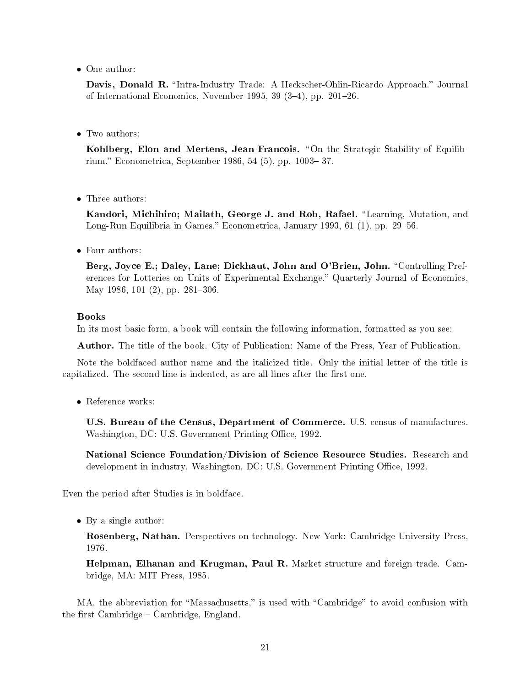• One author:

Davis, Donald R. "Intra-Industry Trade: A Heckscher-Ohlin-Ricardo Approach." Journal of International Economics, November 1995, 39  $(3-4)$ , pp. 201–26.

• Two authors:

Kohlberg, Elon and Mertens, Jean-Francois. "On the Strategic Stability of Equilibrium." Econometrica, September 1986, 54 (5), pp. 1003–37.

• Three authors:

Kandori, Michihiro; Mailath, George J. and Rob, Rafael. "Learning, Mutation, and Long-Run Equilibria in Games." Econometrica, January 1993, 61 (1), pp. 29–56.

 $\bullet\,$  Four authors:

Berg, Joyce E.; Daley, Lane; Dickhaut, John and O'Brien, John. "Controlling Preferences for Lotteries on Units of Experimental Exchange." Quarterly Journal of Economics, May 1986, 101  $(2)$ , pp. 281–306.

#### Books

In its most basic form, a book will contain the following information, formatted as you see:

Author. The title of the book. City of Publication: Name of the Press, Year of Publication.

Note the boldfaced author name and the italicized title. Only the initial letter of the title is capitalized. The second line is indented, as are all lines after the first one.

• Reference works:

U.S. Bureau of the Census, Department of Commerce. U.S. census of manufactures. Washington, DC: U.S. Government Printing Office, 1992.

National Science Foundation/Division of Science Resource Studies. Research and development in industry. Washington, DC: U.S. Government Printing Office, 1992.

Even the period after Studies is in boldface.

• By a single author:

Rosenberg, Nathan. Perspectives on technology. New York: Cambridge University Press, 1976.

Helpman, Elhanan and Krugman, Paul R. Market structure and foreign trade. Cambridge, MA: MIT Press, 1985.

MA, the abbreviation for "Massachusetts," is used with "Cambridge" to avoid confusion with the first Cambridge  $-$  Cambridge, England.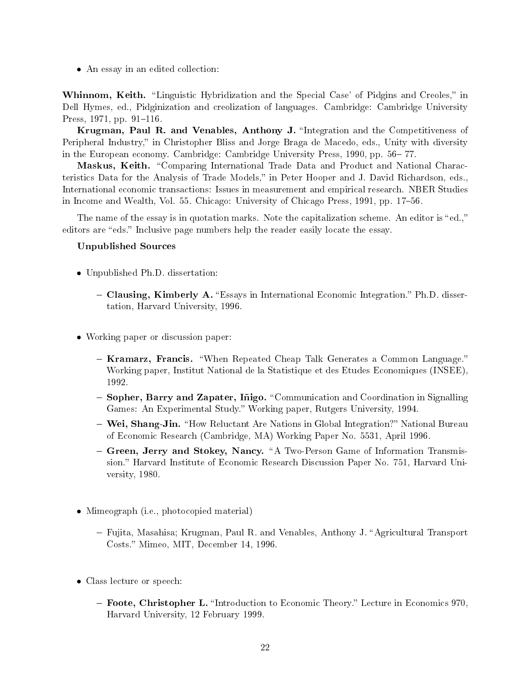• An essay in an edited collection:

Whinnom, Keith. "Linguistic Hybridization and the Special Case' of Pidgins and Creoles," in Dell Hymes, ed., Pidginization and creolization of languages. Cambridge: Cambridge University Press,  $1971$ , pp.  $91-116$ .

Krugman, Paul R. and Venables, Anthony J. "Integration and the Competitiveness of Peripheral Industry," in Christopher Bliss and Jorge Braga de Macedo, eds., Unity with diversity in the European economy. Cambridge: Cambridge University Press, 1990, pp. 56–77.

Maskus, Keith. "Comparing International Trade Data and Product and National Characteristics Data for the Analysis of Trade Models," in Peter Hooper and J. David Richardson, eds., International economic transactions: Issues in measurement and empirical research. NBER Studies in Income and Wealth, Vol. 55. Chicago: University of Chicago Press,  $1991$ , pp.  $17-56$ .

The name of the essay is in quotation marks. Note the capitalization scheme. An editor is "ed.," editors are "eds." Inclusive page numbers help the reader easily locate the essay.

#### Unpublished Sources

- Unpublished Ph.D. dissertation:
	- Clausing, Kimberly A. "Essays in International Economic Integration." Ph.D. dissertation, Harvard University, 1996.
- Working paper or discussion paper:
	- Kramarz, Francis. "When Repeated Cheap Talk Generates a Common Language." Working paper, Institut National de la Statistique et des Etudes Economiques (INSEE), 1992.
	- Sopher, Barry and Zapater, Iñigo. "Communication and Coordination in Signalling Games: An Experimental Study." Working paper, Rutgers University, 1994.
	- Wei, Shang-Jin. "How Reluctant Are Nations in Global Integration?" National Bureau of Economic Research (Cambridge, MA) Working Paper No. 5531, April 1996.
	- Green, Jerry and Stokey, Nancy. "A Two-Person Game of Information Transmission." Harvard Institute of Economic Research Discussion Paper No. 751, Harvard University, 1980.
- Mimeograph (i.e., photocopied material)
	- Fujita, Masahisa; Krugman, Paul R. and Venables, Anthony J. "Agricultural Transport Costs." Mimeo, MIT, December 14, 1996.
- Class lecture or speech:
	- Foote, Christopher L. "Introduction to Economic Theory." Lecture in Economics 970, Harvard University, 12 February 1999.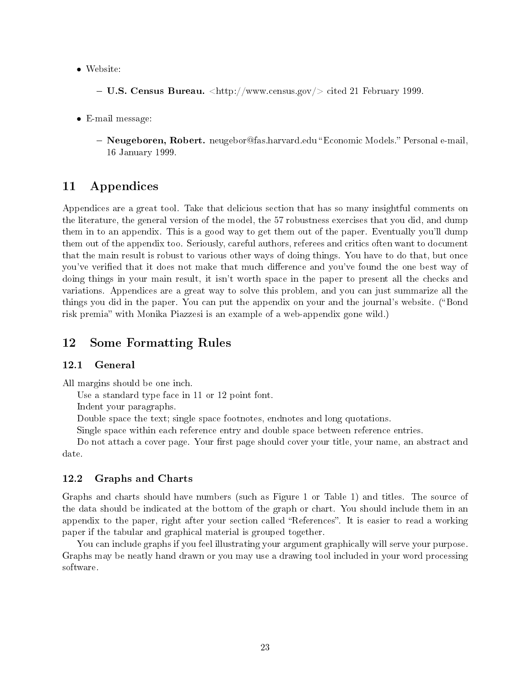• Website:

- U.S. Census Bureau.  $\langle \text{http://www.census.gov/} \rangle$  cited 21 February 1999.

- E-mail message:
	- Neugeboren, Robert. neugebor@fas.harvard.edu "Economic Models." Personal e-mail, 16 January 1999.

# 11 Appendices

Appendices are a great tool. Take that delicious section that has so many insightful comments on the literature, the general version of the model, the 57 robustness exercises that you did, and dump them in to an appendix. This is a good way to get them out of the paper. Eventually you'll dump them out of the appendix too. Seriously, careful authors, referees and critics often want to document that the main result is robust to various other ways of doing things. You have to do that, but once you've verified that it does not make that much difference and you've found the one best way of doing things in your main result, it isn't worth space in the paper to present all the checks and variations. Appendices are a great way to solve this problem, and you can just summarize all the things you did in the paper. You can put the appendix on your and the journal's website. ("Bond") risk premia" with Monika Piazzesi is an example of a web-appendix gone wild.)

# 12 Some Formatting Rules

### 12.1 General

All margins should be one inch.

Use a standard type face in 11 or 12 point font.

Indent your paragraphs.

Double space the text; single space footnotes, endnotes and long quotations.

Single space within each reference entry and double space between reference entries.

Do not attach a cover page. Your first page should cover your title, your name, an abstract and date.

### 12.2 Graphs and Charts

Graphs and charts should have numbers (such as Figure 1 or Table 1) and titles. The source of the data should be indicated at the bottom of the graph or chart. You should include them in an appendix to the paper, right after your section called "References". It is easier to read a working paper if the tabular and graphical material is grouped together.

You can include graphs if you feel illustrating your argument graphically will serve your purpose. Graphs may be neatly hand drawn or you may use a drawing tool included in your word processing software.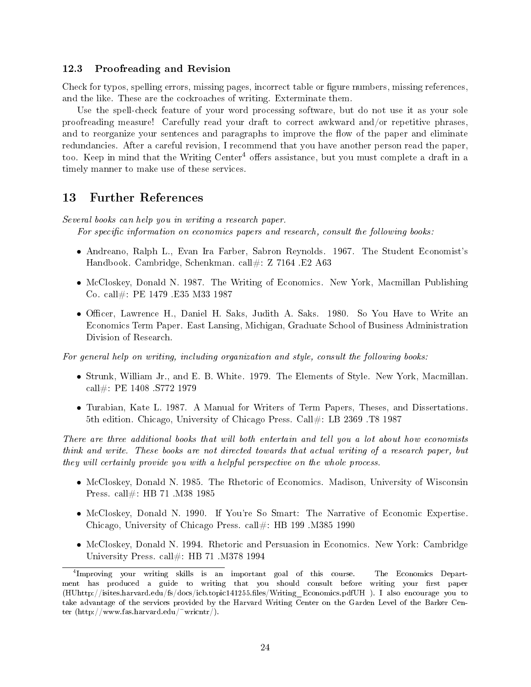#### 12.3 Proofreading and Revision

Check for typos, spelling errors, missing pages, incorrect table or figure numbers, missing references, and the like. These are the cockroaches of writing. Exterminate them.

Use the spell-check feature of your word processing software, but do not use it as your sole proofreading measure! Carefully read your draft to correct awkward and/or repetitive phrases, and to reorganize your sentences and paragraphs to improve the flow of the paper and eliminate redundancies. After a careful revision, I recommend that you have another person read the paper, too. Keep in mind that the Writing Center<sup>4</sup> offers assistance, but you must complete a draft in a timely manner to make use of these services.

### 13 Further References

Several books can help you in writing a research paper.

For specific information on economics papers and research, consult the following books:

- Andreano, Ralph L., Evan Ira Farber, Sabron Reynolds. 1967. The Student Economist's Handbook. Cambridge, Schenkman. call#: Z 7164 .E2 A63
- McCloskey, Donald N. 1987. The Writing of Economics. New York, Macmillan Publishing Co. call#: PE 1479 .E35 M33 1987
- Officer, Lawrence H., Daniel H. Saks, Judith A. Saks. 1980. So You Have to Write an Economics Term Paper. East Lansing, Michigan, Graduate School of Business Administration Division of Research.

For general help on writing, including organization and style, consult the following books:

- Strunk, William Jr., and E. B. White. 1979. The Elements of Style. New York, Macmillan. call#: PE 1408 .S772 1979
- Turabian, Kate L. 1987. A Manual for Writers of Term Papers, Theses, and Dissertations. 5th edition. Chicago, University of Chicago Press. Call#: LB 2369 .T8 1987

There are three additional books that will both entertain and tell you a lot about how economists think and write. These books are not directed towards that actual writing of a research paper, but they will certainly provide you with a helpful perspective on the whole process.

- McCloskey, Donald N. 1985. The Rhetoric of Economics. Madison, University of Wisconsin Press. call#: HB 71 .M38 1985
- McCloskey, Donald N. 1990. If You're So Smart: The Narrative of Economic Expertise. Chicago, University of Chicago Press. call#: HB 199 .M385 1990
- McCloskey, Donald N. 1994. Rhetoric and Persuasion in Economics. New York: Cambridge University Press. call#: HB 71 .M378 1994

<sup>4</sup> Improving your writing skills is an important goal of this course. The Economics Department has produced a guide to writing that you should consult before writing your first paper (HUhttp://isites.harvard.edu/fs/docs/icb.topic141255.les/Writing\_Economics.pdfUH ). I also encourage you to take advantage of the services provided by the Harvard Writing Center on the Garden Level of the Barker Center (http://www.fas.harvard.edu/~wricntr/).